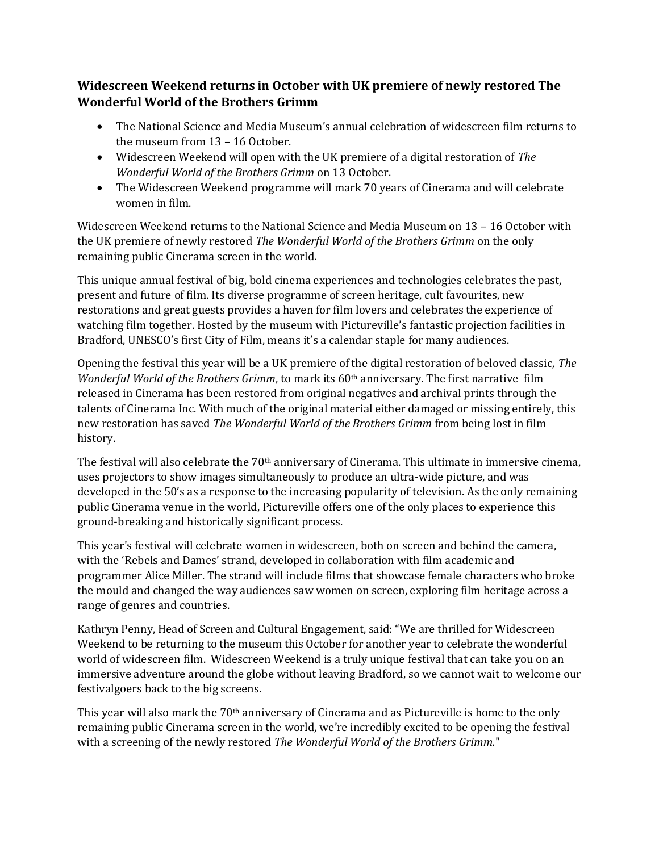## **Widescreen Weekend returns in October with UK premiere of newly restored The Wonderful World of the Brothers Grimm**

- The National Science and Media Museum's annual celebration of widescreen film returns to the museum from 13 – 16 October.
- Widescreen Weekend will open with the UK premiere of a digital restoration of *The Wonderful World of the Brothers Grimm* on 13 October.
- The Widescreen Weekend programme will mark 70 years of Cinerama and will celebrate women in film.

Widescreen Weekend returns to the National Science and Media Museum on 13 – 16 October with the UK premiere of newly restored *The Wonderful World of the Brothers Grimm* on the only remaining public Cinerama screen in the world.

This unique annual festival of big, bold cinema experiences and technologies celebrates the past, present and future of film. Its diverse programme of screen heritage, cult favourites, new restorations and great guests provides a haven for film lovers and celebrates the experience of watching film together. Hosted by the museum with Pictureville's fantastic projection facilities in Bradford, UNESCO's first City of Film, means it's a calendar staple for many audiences.

Opening the festival this year will be a UK premiere of the digital restoration of beloved classic, *The Wonderful World of the Brothers Grimm*, to mark its 60th anniversary. The first narrative film released in Cinerama has been restored from original negatives and archival prints through the talents of Cinerama Inc. With much of the original material either damaged or missing entirely, this new restoration has saved *The Wonderful World of the Brothers Grimm* from being lost in film history.

The festival will also celebrate the  $70<sup>th</sup>$  anniversary of Cinerama. This ultimate in immersive cinema, uses projectors to show images simultaneously to produce an ultra-wide picture, and was developed in the 50's as a response to the increasing popularity of television. As the only remaining public Cinerama venue in the world, Pictureville offers one of the only places to experience this ground-breaking and historically significant process.

This year's festival will celebrate women in widescreen, both on screen and behind the camera, with the 'Rebels and Dames' strand, developed in collaboration with film academic and programmer Alice Miller. The strand will include films that showcase female characters who broke the mould and changed the way audiences saw women on screen, exploring film heritage across a range of genres and countries.

Kathryn Penny, Head of Screen and Cultural Engagement, said: "We are thrilled for Widescreen Weekend to be returning to the museum this October for another year to celebrate the wonderful world of widescreen film. Widescreen Weekend is a truly unique festival that can take you on an immersive adventure around the globe without leaving Bradford, so we cannot wait to welcome our festivalgoers back to the big screens.

This year will also mark the 70th anniversary of Cinerama and as Pictureville is home to the only remaining public Cinerama screen in the world, we're incredibly excited to be opening the festival with a screening of the newly restored *The Wonderful World of the Brothers Grimm.*"